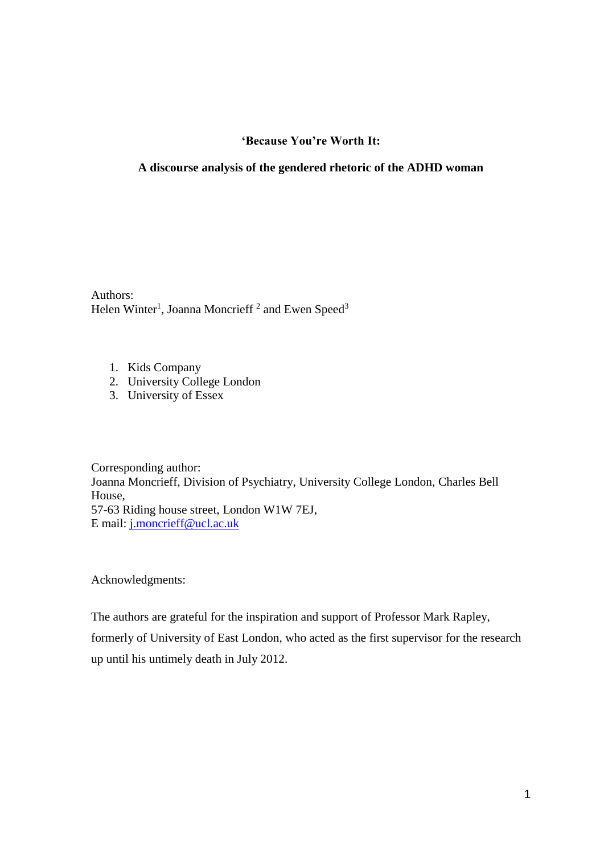# **'Because You're Worth It:**

## **A discourse analysis of the gendered rhetoric of the ADHD woman**

Authors: Helen Winter<sup>1</sup>, Joanna Moncrieff<sup>2</sup> and Ewen Speed<sup>3</sup>

- 1. Kids Company
- 2. University College London
- 3. University of Essex

Corresponding author: Joanna Moncrieff, Division of Psychiatry, University College London, Charles Bell House, 57-63 Riding house street, London W1W 7EJ, E mail: [j.moncrieff@ucl.ac.uk](mailto:j.moncrieff@ucl.ac.uk)

Acknowledgments:

The authors are grateful for the inspiration and support of Professor Mark Rapley, formerly of University of East London, who acted as the first supervisor for the research up until his untimely death in July 2012.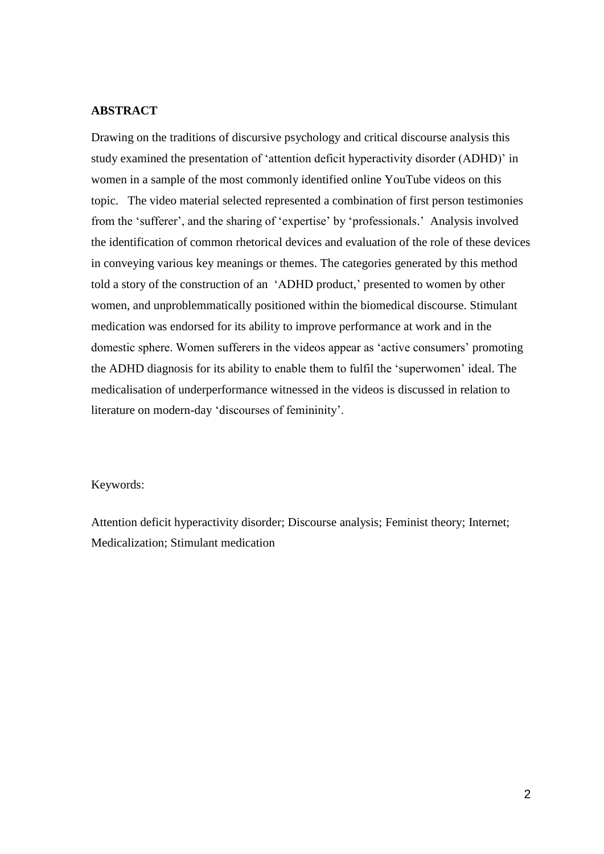## **ABSTRACT**

Drawing on the traditions of discursive psychology and critical discourse analysis this study examined the presentation of 'attention deficit hyperactivity disorder (ADHD)' in women in a sample of the most commonly identified online YouTube videos on this topic. The video material selected represented a combination of first person testimonies from the 'sufferer', and the sharing of 'expertise' by 'professionals.' Analysis involved the identification of common rhetorical devices and evaluation of the role of these devices in conveying various key meanings or themes. The categories generated by this method told a story of the construction of an 'ADHD product,' presented to women by other women, and unproblemmatically positioned within the biomedical discourse. Stimulant medication was endorsed for its ability to improve performance at work and in the domestic sphere. Women sufferers in the videos appear as 'active consumers' promoting the ADHD diagnosis for its ability to enable them to fulfil the 'superwomen' ideal. The medicalisation of underperformance witnessed in the videos is discussed in relation to literature on modern-day 'discourses of femininity'.

## Keywords:

Attention deficit hyperactivity disorder; Discourse analysis; Feminist theory; Internet; Medicalization; Stimulant medication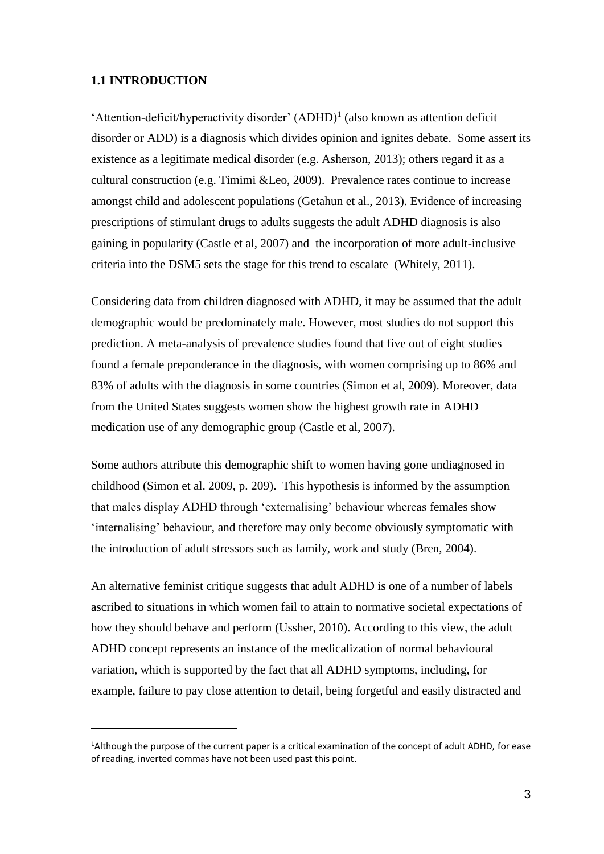#### **1.1 INTRODUCTION**

l

'Attention-deficit/hyperactivity disorder' (ADHD)<sup>1</sup> (also known as attention deficit disorder or ADD) is a diagnosis which divides opinion and ignites debate. Some assert its existence as a legitimate medical disorder (e.g. Asherson, 2013); others regard it as a cultural construction (e.g. Timimi &Leo, 2009). Prevalence rates continue to increase amongst child and adolescent populations (Getahun et al., 2013). Evidence of increasing prescriptions of stimulant drugs to adults suggests the adult ADHD diagnosis is also gaining in popularity (Castle et al, 2007) and the incorporation of more adult-inclusive criteria into the DSM5 sets the stage for this trend to escalate (Whitely, 2011).

Considering data from children diagnosed with ADHD, it may be assumed that the adult demographic would be predominately male. However, most studies do not support this prediction. A meta-analysis of prevalence studies found that five out of eight studies found a female preponderance in the diagnosis, with women comprising up to 86% and 83% of adults with the diagnosis in some countries (Simon et al, 2009). Moreover, data from the United States suggests women show the highest growth rate in ADHD medication use of any demographic group (Castle et al, 2007).

Some authors attribute this demographic shift to women having gone undiagnosed in childhood (Simon et al. 2009, p. 209). This hypothesis is informed by the assumption that males display ADHD through 'externalising' behaviour whereas females show 'internalising' behaviour, and therefore may only become obviously symptomatic with the introduction of adult stressors such as family, work and study (Bren, 2004).

An alternative feminist critique suggests that adult ADHD is one of a number of labels ascribed to situations in which women fail to attain to normative societal expectations of how they should behave and perform (Ussher, 2010). According to this view, the adult ADHD concept represents an instance of the medicalization of normal behavioural variation, which is supported by the fact that all ADHD symptoms, including, for example, failure to pay close attention to detail, being forgetful and easily distracted and

<sup>1</sup>Although the purpose of the current paper is a critical examination of the concept of adult ADHD, for ease of reading, inverted commas have not been used past this point.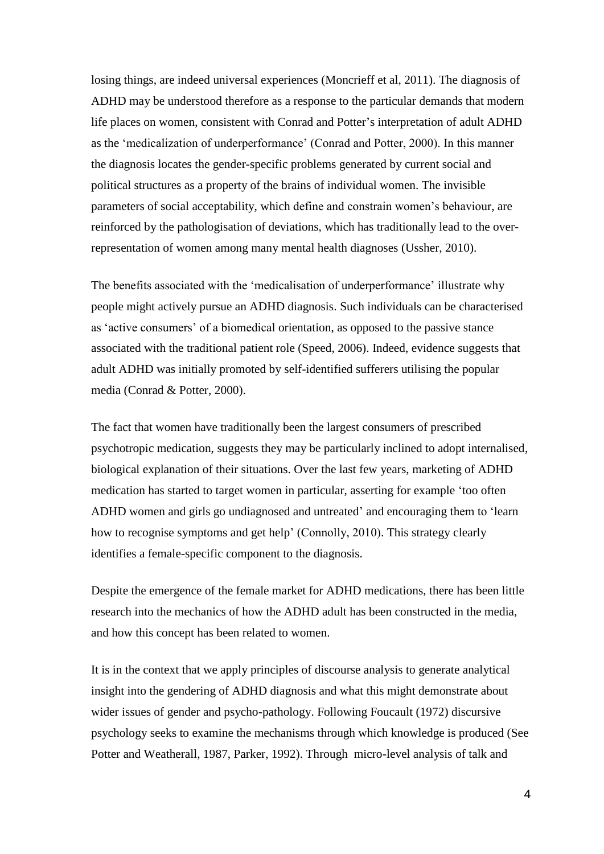losing things, are indeed universal experiences (Moncrieff et al, 2011). The diagnosis of ADHD may be understood therefore as a response to the particular demands that modern life places on women, consistent with Conrad and Potter's interpretation of adult ADHD as the 'medicalization of underperformance' (Conrad and Potter, 2000). In this manner the diagnosis locates the gender-specific problems generated by current social and political structures as a property of the brains of individual women. The invisible parameters of social acceptability, which define and constrain women's behaviour, are reinforced by the pathologisation of deviations, which has traditionally lead to the overrepresentation of women among many mental health diagnoses (Ussher, 2010).

The benefits associated with the 'medicalisation of underperformance' illustrate why people might actively pursue an ADHD diagnosis. Such individuals can be characterised as 'active consumers' of a biomedical orientation, as opposed to the passive stance associated with the traditional patient role (Speed, 2006). Indeed, evidence suggests that adult ADHD was initially promoted by self-identified sufferers utilising the popular media (Conrad & Potter, 2000).

The fact that women have traditionally been the largest consumers of prescribed psychotropic medication, suggests they may be particularly inclined to adopt internalised, biological explanation of their situations. Over the last few years, marketing of ADHD medication has started to target women in particular, asserting for example 'too often ADHD women and girls go undiagnosed and untreated' and encouraging them to 'learn how to recognise symptoms and get help' (Connolly, 2010). This strategy clearly identifies a female-specific component to the diagnosis.

Despite the emergence of the female market for ADHD medications, there has been little research into the mechanics of how the ADHD adult has been constructed in the media, and how this concept has been related to women.

It is in the context that we apply principles of discourse analysis to generate analytical insight into the gendering of ADHD diagnosis and what this might demonstrate about wider issues of gender and psycho-pathology. Following Foucault (1972) discursive psychology seeks to examine the mechanisms through which knowledge is produced (See Potter and Weatherall, 1987, Parker, 1992). Through micro-level analysis of talk and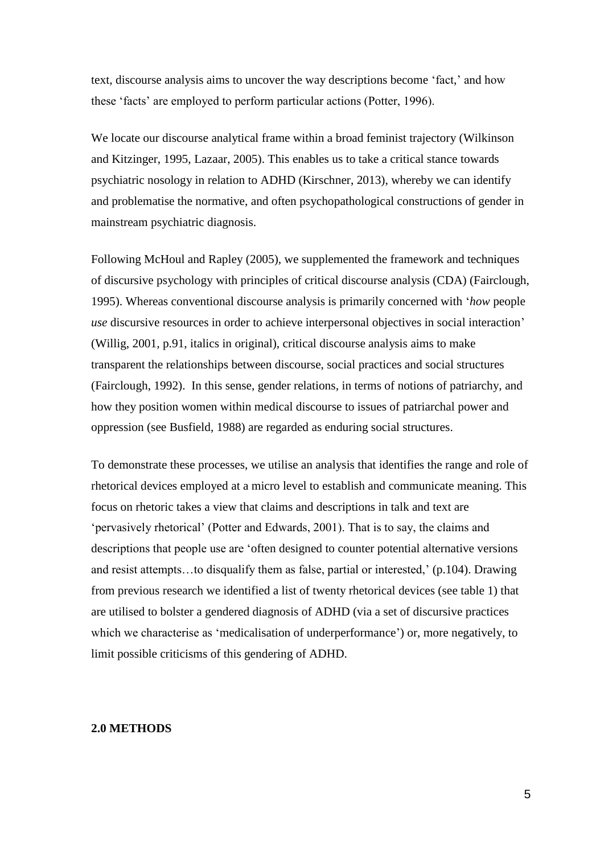text, discourse analysis aims to uncover the way descriptions become 'fact,' and how these 'facts' are employed to perform particular actions (Potter, 1996).

We locate our discourse analytical frame within a broad feminist trajectory (Wilkinson and Kitzinger, 1995, Lazaar, 2005). This enables us to take a critical stance towards psychiatric nosology in relation to ADHD (Kirschner, 2013), whereby we can identify and problematise the normative, and often psychopathological constructions of gender in mainstream psychiatric diagnosis.

Following McHoul and Rapley (2005), we supplemented the framework and techniques of discursive psychology with principles of critical discourse analysis (CDA) (Fairclough, 1995). Whereas conventional discourse analysis is primarily concerned with '*how* people *use* discursive resources in order to achieve interpersonal objectives in social interaction' (Willig, 2001, p.91, italics in original), critical discourse analysis aims to make transparent the relationships between discourse, social practices and social structures (Fairclough, 1992). In this sense, gender relations, in terms of notions of patriarchy, and how they position women within medical discourse to issues of patriarchal power and oppression (see Busfield, 1988) are regarded as enduring social structures.

To demonstrate these processes, we utilise an analysis that identifies the range and role of rhetorical devices employed at a micro level to establish and communicate meaning. This focus on rhetoric takes a view that claims and descriptions in talk and text are 'pervasively rhetorical' (Potter and Edwards, 2001). That is to say, the claims and descriptions that people use are 'often designed to counter potential alternative versions and resist attempts…to disqualify them as false, partial or interested,' (p.104). Drawing from previous research we identified a list of twenty rhetorical devices (see table 1) that are utilised to bolster a gendered diagnosis of ADHD (via a set of discursive practices which we characterise as 'medicalisation of underperformance') or, more negatively, to limit possible criticisms of this gendering of ADHD.

## **2.0 METHODS**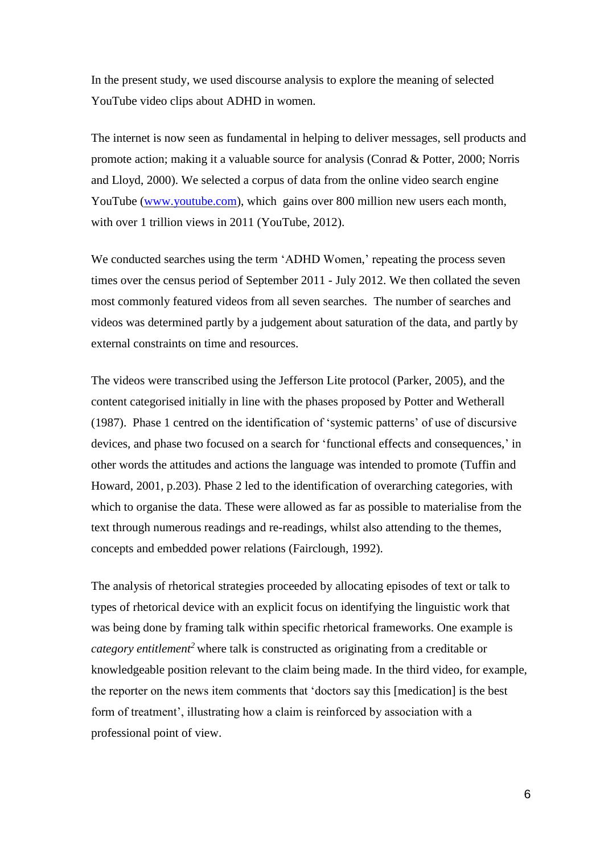In the present study, we used discourse analysis to explore the meaning of selected YouTube video clips about ADHD in women.

The internet is now seen as fundamental in helping to deliver messages, sell products and promote action; making it a valuable source for analysis (Conrad & Potter, 2000; Norris and Lloyd, 2000). We selected a corpus of data from the online video search engine YouTube [\(www.youtube.com\)](http://www.youtube.com/), which gains over 800 million new users each month, with over 1 trillion views in 2011 (YouTube, 2012).

We conducted searches using the term 'ADHD Women,' repeating the process seven times over the census period of September 2011 - July 2012. We then collated the seven most commonly featured videos from all seven searches. The number of searches and videos was determined partly by a judgement about saturation of the data, and partly by external constraints on time and resources.

The videos were transcribed using the Jefferson Lite protocol (Parker, 2005), and the content categorised initially in line with the phases proposed by Potter and Wetherall (1987). Phase 1 centred on the identification of 'systemic patterns' of use of discursive devices, and phase two focused on a search for 'functional effects and consequences,' in other words the attitudes and actions the language was intended to promote (Tuffin and Howard, 2001, p.203). Phase 2 led to the identification of overarching categories, with which to organise the data. These were allowed as far as possible to materialise from the text through numerous readings and re-readings, whilst also attending to the themes, concepts and embedded power relations (Fairclough, 1992).

The analysis of rhetorical strategies proceeded by allocating episodes of text or talk to types of rhetorical device with an explicit focus on identifying the linguistic work that was being done by framing talk within specific rhetorical frameworks. One example is *category entitlement<sup>2</sup>* where talk is constructed as originating from a creditable or knowledgeable position relevant to the claim being made. In the third video, for example, the reporter on the news item comments that 'doctors say this [medication] is the best form of treatment', illustrating how a claim is reinforced by association with a professional point of view.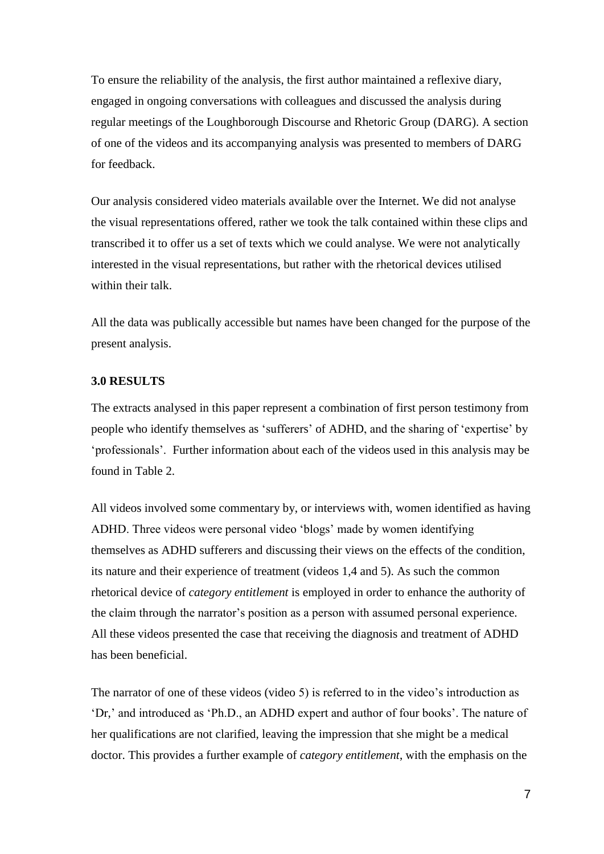To ensure the reliability of the analysis, the first author maintained a reflexive diary, engaged in ongoing conversations with colleagues and discussed the analysis during regular meetings of the Loughborough Discourse and Rhetoric Group (DARG). A section of one of the videos and its accompanying analysis was presented to members of DARG for feedback.

Our analysis considered video materials available over the Internet. We did not analyse the visual representations offered, rather we took the talk contained within these clips and transcribed it to offer us a set of texts which we could analyse. We were not analytically interested in the visual representations, but rather with the rhetorical devices utilised within their talk.

All the data was publically accessible but names have been changed for the purpose of the present analysis.

#### **3.0 RESULTS**

The extracts analysed in this paper represent a combination of first person testimony from people who identify themselves as 'sufferers' of ADHD, and the sharing of 'expertise' by 'professionals'. Further information about each of the videos used in this analysis may be found in Table 2.

All videos involved some commentary by, or interviews with, women identified as having ADHD. Three videos were personal video 'blogs' made by women identifying themselves as ADHD sufferers and discussing their views on the effects of the condition, its nature and their experience of treatment (videos 1,4 and 5). As such the common rhetorical device of *category entitlement* is employed in order to enhance the authority of the claim through the narrator's position as a person with assumed personal experience. All these videos presented the case that receiving the diagnosis and treatment of ADHD has been beneficial.

The narrator of one of these videos (video 5) is referred to in the video's introduction as 'Dr,' and introduced as 'Ph.D., an ADHD expert and author of four books'. The nature of her qualifications are not clarified, leaving the impression that she might be a medical doctor. This provides a further example of *category entitlement*, with the emphasis on the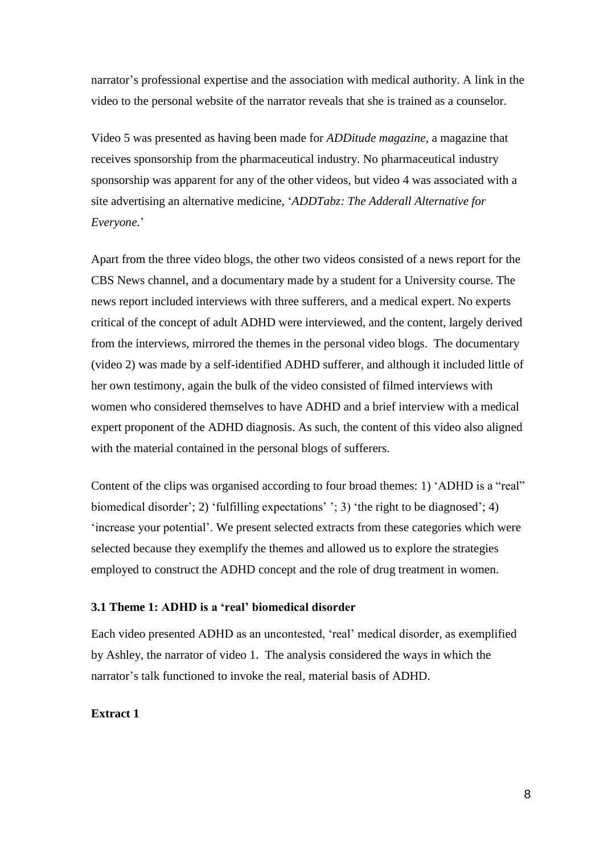narrator's professional expertise and the association with medical authority. A link in the video to the personal website of the narrator reveals that she is trained as a counselor.

Video 5 was presented as having been made for *ADDitude magazine*, a magazine that receives sponsorship from the pharmaceutical industry. No pharmaceutical industry sponsorship was apparent for any of the other videos, but video 4 was associated with a site advertising an alternative medicine, '*ADDTabz: The Adderall Alternative for Everyone.*'

Apart from the three video blogs, the other two videos consisted of a news report for the CBS News channel, and a documentary made by a student for a University course. The news report included interviews with three sufferers, and a medical expert. No experts critical of the concept of adult ADHD were interviewed, and the content, largely derived from the interviews, mirrored the themes in the personal video blogs. The documentary (video 2) was made by a self-identified ADHD sufferer, and although it included little of her own testimony, again the bulk of the video consisted of filmed interviews with women who considered themselves to have ADHD and a brief interview with a medical expert proponent of the ADHD diagnosis. As such, the content of this video also aligned with the material contained in the personal blogs of sufferers.

Content of the clips was organised according to four broad themes: 1) 'ADHD is a "real" biomedical disorder'; 2) 'fulfilling expectations' '; 3) 'the right to be diagnosed'; 4) 'increase your potential'. We present selected extracts from these categories which were selected because they exemplify the themes and allowed us to explore the strategies employed to construct the ADHD concept and the role of drug treatment in women.

## **3.1 Theme 1: ADHD is a 'real' biomedical disorder**

Each video presented ADHD as an uncontested, 'real' medical disorder, as exemplified by Ashley, the narrator of video 1. The analysis considered the ways in which the narrator's talk functioned to invoke the real, material basis of ADHD.

## **Extract 1**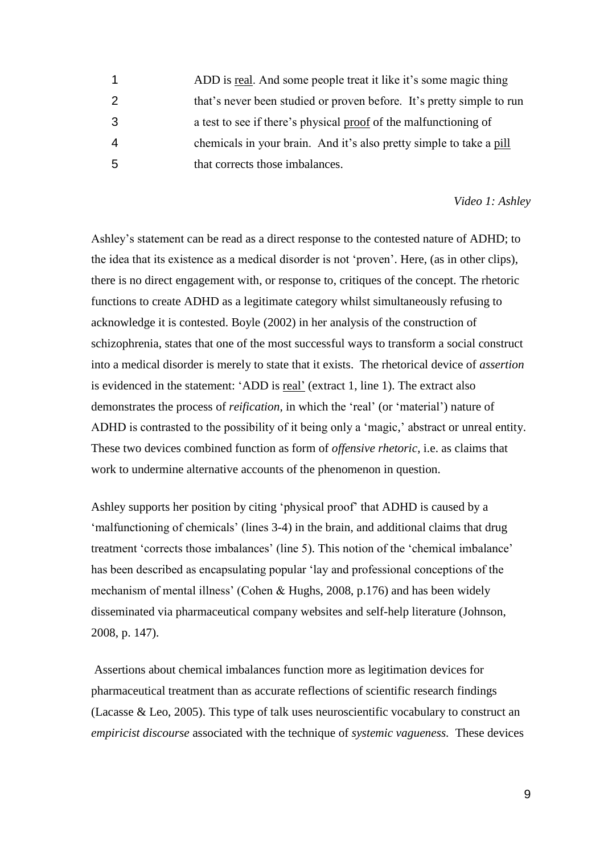ADD is real. And some people treat it like it's some magic thing that's never been studied or proven before. It's pretty simple to run a test to see if there's physical proof of the malfunctioning of chemicals in your brain. And it's also pretty simple to take a pill that corrects those imbalances.

#### *Video 1: Ashley*

Ashley's statement can be read as a direct response to the contested nature of ADHD; to the idea that its existence as a medical disorder is not 'proven'. Here, (as in other clips), there is no direct engagement with, or response to, critiques of the concept. The rhetoric functions to create ADHD as a legitimate category whilst simultaneously refusing to acknowledge it is contested. Boyle (2002) in her analysis of the construction of schizophrenia, states that one of the most successful ways to transform a social construct into a medical disorder is merely to state that it exists. The rhetorical device of *assertion* is evidenced in the statement: 'ADD is real' (extract 1, line 1). The extract also demonstrates the process of *reification,* in which the 'real' (or 'material') nature of ADHD is contrasted to the possibility of it being only a 'magic,' abstract or unreal entity. These two devices combined function as form of *offensive rhetoric*, i.e. as claims that work to undermine alternative accounts of the phenomenon in question.

Ashley supports her position by citing 'physical proof' that ADHD is caused by a 'malfunctioning of chemicals' (lines 3-4) in the brain, and additional claims that drug treatment 'corrects those imbalances' (line 5). This notion of the 'chemical imbalance' has been described as encapsulating popular 'lay and professional conceptions of the mechanism of mental illness' (Cohen & Hughs, 2008, p.176) and has been widely disseminated via pharmaceutical company websites and self-help literature (Johnson, 2008, p. 147).

Assertions about chemical imbalances function more as legitimation devices for pharmaceutical treatment than as accurate reflections of scientific research findings (Lacasse & Leo, 2005). This type of talk uses neuroscientific vocabulary to construct an *empiricist discourse* associated with the technique of *systemic vagueness.* These devices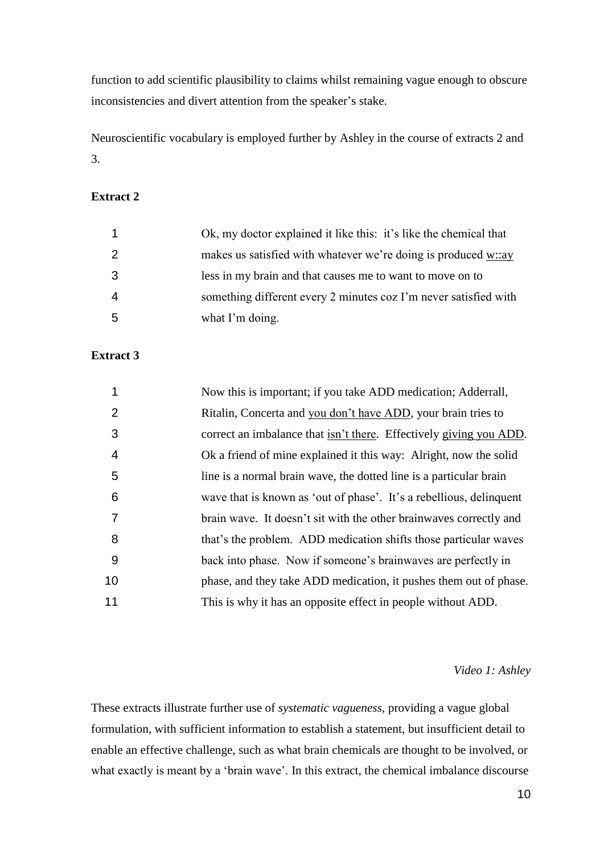function to add scientific plausibility to claims whilst remaining vague enough to obscure inconsistencies and divert attention from the speaker's stake.

Neuroscientific vocabulary is employed further by Ashley in the course of extracts 2 and 3.

# **Extract 2**

|    | Ok, my doctor explained it like this: it's like the chemical that |
|----|-------------------------------------------------------------------|
|    | makes us satisfied with whatever we're doing is produced $w::ay$  |
| -3 | less in my brain and that causes me to want to move on to         |
| -4 | something different every 2 minutes coz I'm never satisfied with  |
| -5 | what I'm doing.                                                   |

# **Extract 3**

|    | Now this is important; if you take ADD medication; Adderrall,              |
|----|----------------------------------------------------------------------------|
| 2  | Ritalin, Concerta and you don't have ADD, your brain tries to              |
| 3  | correct an imbalance that <u>isn't there</u> . Effectively giving you ADD. |
| 4  | Ok a friend of mine explained it this way: Alright, now the solid          |
| 5  | line is a normal brain wave, the dotted line is a particular brain         |
| 6  | wave that is known as 'out of phase'. It's a rebellious, delinquent        |
| 7  | brain wave. It doesn't sit with the other brainwaves correctly and         |
| 8  | that's the problem. ADD medication shifts those particular waves           |
| 9  | back into phase. Now if someone's brainwaves are perfectly in              |
| 10 | phase, and they take ADD medication, it pushes them out of phase.          |
| 11 | This is why it has an opposite effect in people without ADD.               |

#### *Video 1: Ashley*

These extracts illustrate further use of *systematic vagueness*, providing a vague global formulation, with sufficient information to establish a statement, but insufficient detail to enable an effective challenge, such as what brain chemicals are thought to be involved, or what exactly is meant by a 'brain wave'. In this extract, the chemical imbalance discourse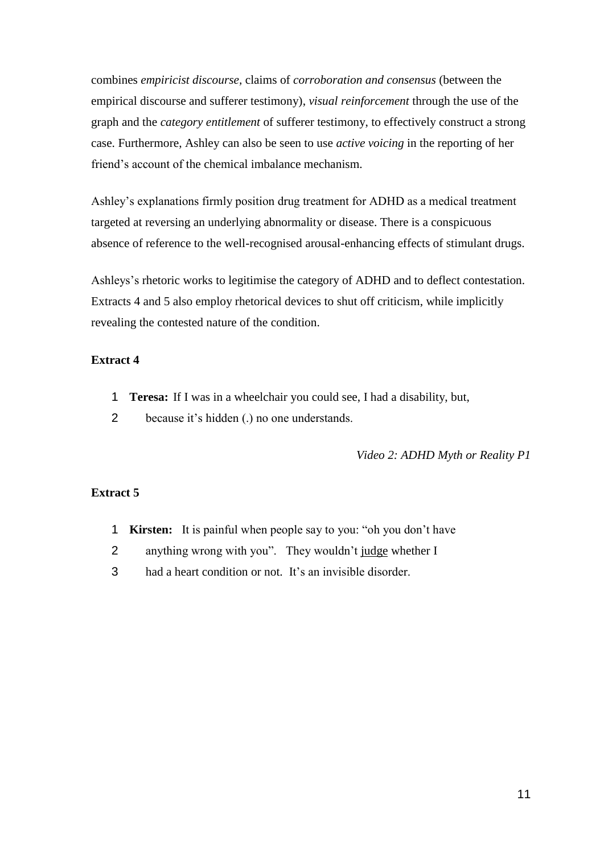combines *empiricist discourse,* claims of *corroboration and consensus* (between the empirical discourse and sufferer testimony), *visual reinforcement* through the use of the graph and the *category entitlement* of sufferer testimony, to effectively construct a strong case. Furthermore, Ashley can also be seen to use *active voicing* in the reporting of her friend's account of the chemical imbalance mechanism.

Ashley's explanations firmly position drug treatment for ADHD as a medical treatment targeted at reversing an underlying abnormality or disease. There is a conspicuous absence of reference to the well-recognised arousal-enhancing effects of stimulant drugs.

Ashleys's rhetoric works to legitimise the category of ADHD and to deflect contestation. Extracts 4 and 5 also employ rhetorical devices to shut off criticism, while implicitly revealing the contested nature of the condition.

## **Extract 4**

- 1 **Teresa:** If I was in a wheelchair you could see, I had a disability, but,
- 2 because it's hidden (.) no one understands.

*Video 2: ADHD Myth or Reality P1*

## **Extract 5**

- 1 **Kirsten:** It is painful when people say to you: "oh you don't have
- 2 anything wrong with you". They wouldn't judge whether I
- 3 had a heart condition or not. It's an invisible disorder.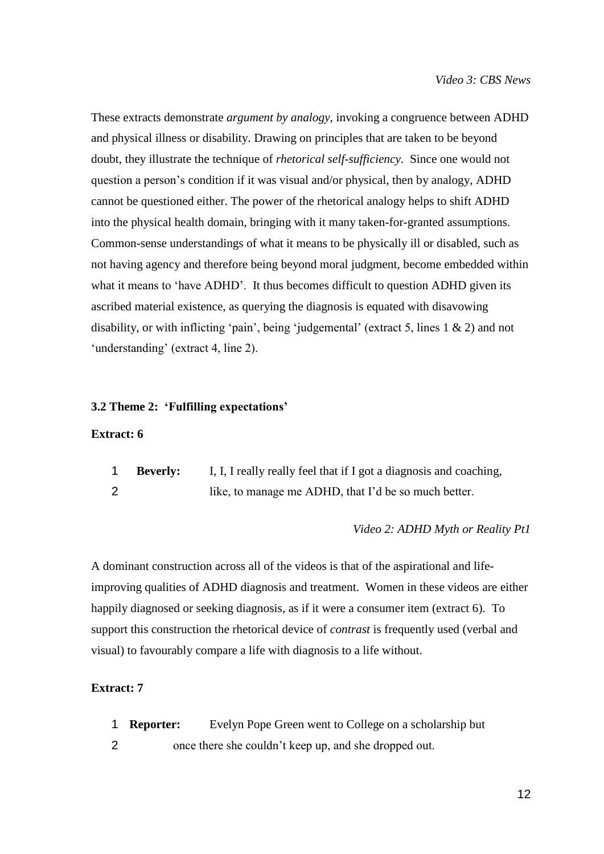These extracts demonstrate *argument by analogy*, invoking a congruence between ADHD and physical illness or disability. Drawing on principles that are taken to be beyond doubt, they illustrate the technique of *rhetorical self-sufficiency*. Since one would not question a person's condition if it was visual and/or physical, then by analogy, ADHD cannot be questioned either. The power of the rhetorical analogy helps to shift ADHD into the physical health domain, bringing with it many taken-for-granted assumptions. Common-sense understandings of what it means to be physically ill or disabled, such as not having agency and therefore being beyond moral judgment, become embedded within what it means to 'have ADHD'. It thus becomes difficult to question ADHD given its ascribed material existence, as querying the diagnosis is equated with disavowing disability, or with inflicting 'pain', being 'judgemental' (extract 5, lines 1 & 2) and not 'understanding' (extract 4, line 2).

#### **3.2 Theme 2: 'Fulfilling expectations'**

## **Extract: 6**

| <b>Beverly:</b> | I, I, I really really feel that if I got a diagnosis and coaching, |
|-----------------|--------------------------------------------------------------------|
|                 | like, to manage me ADHD, that I'd be so much better.               |

#### *Video 2: ADHD Myth or Reality Pt1*

A dominant construction across all of the videos is that of the aspirational and lifeimproving qualities of ADHD diagnosis and treatment. Women in these videos are either happily diagnosed or seeking diagnosis, as if it were a consumer item (extract 6). To support this construction the rhetorical device of *contrast* is frequently used (verbal and visual) to favourably compare a life with diagnosis to a life without.

## **Extract: 7**

- 1 **Reporter:** Evelyn Pope Green went to College on a scholarship but
- 2 once there she couldn't keep up, and she dropped out.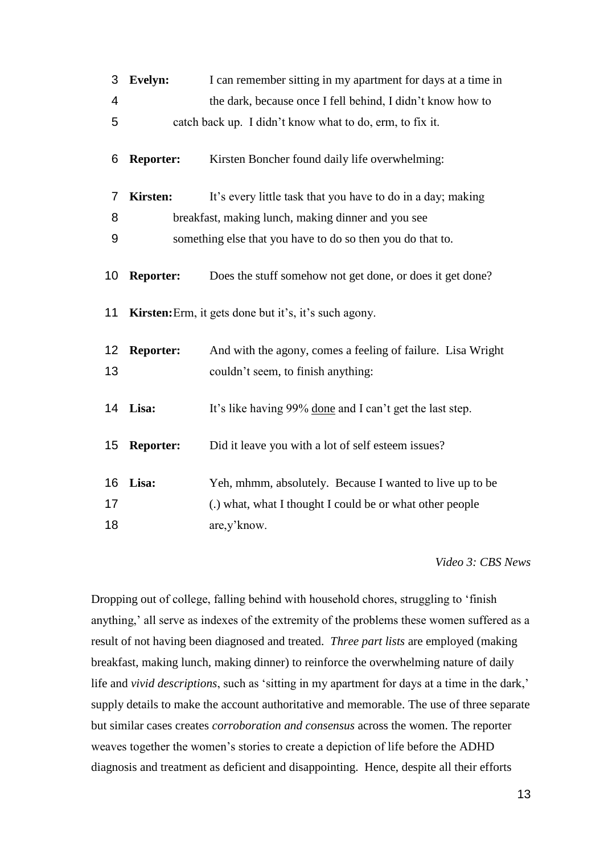| 3              | Evelyn:          | I can remember sitting in my apartment for days at a time in |
|----------------|------------------|--------------------------------------------------------------|
| 4              |                  | the dark, because once I fell behind, I didn't know how to   |
| 5              |                  | catch back up. I didn't know what to do, erm, to fix it.     |
| 6              | <b>Reporter:</b> | Kirsten Boncher found daily life overwhelming:               |
| $\overline{7}$ | <b>Kirsten:</b>  | It's every little task that you have to do in a day; making  |
| 8              |                  | breakfast, making lunch, making dinner and you see           |
| 9              |                  | something else that you have to do so then you do that to.   |
| 10             | <b>Reporter:</b> | Does the stuff somehow not get done, or does it get done?    |
| 11             |                  | <b>Kirsten:</b> Erm, it gets done but it's, it's such agony. |
| 12             | <b>Reporter:</b> | And with the agony, comes a feeling of failure. Lisa Wright  |
| 13             |                  | couldn't seem, to finish anything:                           |
| 14             | Lisa:            | It's like having 99% done and I can't get the last step.     |
| 15             | <b>Reporter:</b> | Did it leave you with a lot of self esteem issues?           |
| 16             | Lisa:            | Yeh, mhmm, absolutely. Because I wanted to live up to be     |
| 17             |                  | (.) what, what I thought I could be or what other people     |
| 18             |                  | are, y' know.                                                |

*Video 3: CBS News*

Dropping out of college, falling behind with household chores, struggling to 'finish anything,' all serve as indexes of the extremity of the problems these women suffered as a result of not having been diagnosed and treated. *Three part lists* are employed (making breakfast, making lunch, making dinner) to reinforce the overwhelming nature of daily life and *vivid descriptions*, such as 'sitting in my apartment for days at a time in the dark,' supply details to make the account authoritative and memorable. The use of three separate but similar cases creates *corroboration and consensus* across the women. The reporter weaves together the women's stories to create a depiction of life before the ADHD diagnosis and treatment as deficient and disappointing. Hence, despite all their efforts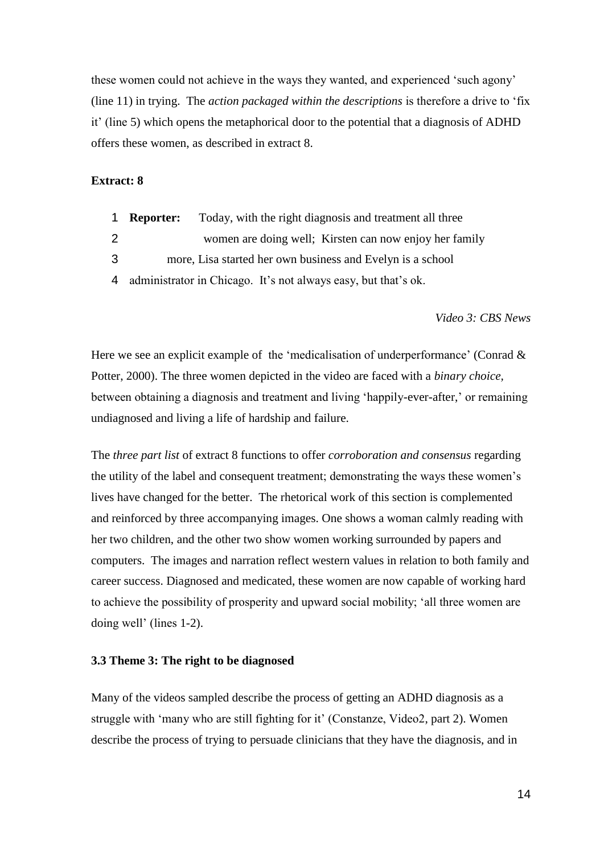these women could not achieve in the ways they wanted, and experienced 'such agony' (line 11) in trying. The *action packaged within the descriptions* is therefore a drive to 'fix it' (line 5) which opens the metaphorical door to the potential that a diagnosis of ADHD offers these women, as described in extract 8.

#### **Extract: 8**

|  | <b>Reporter:</b> |  |  |  | Today, with the right diagnosis and treatment all three |
|--|------------------|--|--|--|---------------------------------------------------------|
|--|------------------|--|--|--|---------------------------------------------------------|

- 2 women are doing well; Kirsten can now enjoy her family
- 3 more, Lisa started her own business and Evelyn is a school
- 4 administrator in Chicago. It's not always easy, but that's ok.

*Video 3: CBS News*

Here we see an explicit example of the 'medicalisation of underperformance' (Conrad  $\&$ Potter, 2000). The three women depicted in the video are faced with a *binary choice,* between obtaining a diagnosis and treatment and living 'happily-ever-after,' or remaining undiagnosed and living a life of hardship and failure.

The *three part list* of extract 8 functions to offer *corroboration and consensus* regarding the utility of the label and consequent treatment; demonstrating the ways these women's lives have changed for the better. The rhetorical work of this section is complemented and reinforced by three accompanying images. One shows a woman calmly reading with her two children, and the other two show women working surrounded by papers and computers. The images and narration reflect western values in relation to both family and career success. Diagnosed and medicated, these women are now capable of working hard to achieve the possibility of prosperity and upward social mobility; 'all three women are doing well' (lines 1-2).

#### **3.3 Theme 3: The right to be diagnosed**

Many of the videos sampled describe the process of getting an ADHD diagnosis as a struggle with 'many who are still fighting for it' (Constanze, Video2, part 2). Women describe the process of trying to persuade clinicians that they have the diagnosis, and in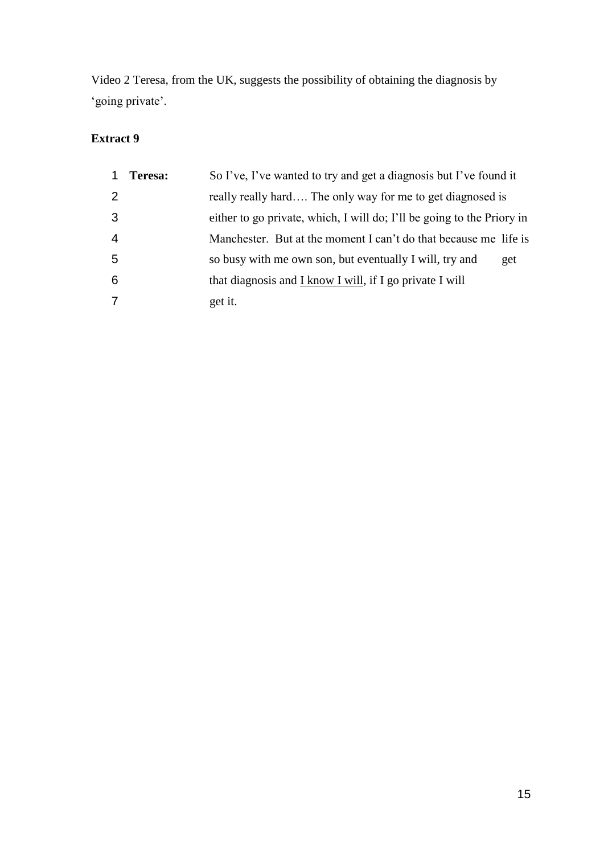Video 2 Teresa, from the UK, suggests the possibility of obtaining the diagnosis by 'going private'.

# **Extract 9**

|                | Teresa: | So I've, I've wanted to try and get a diagnosis but I've found it      |     |
|----------------|---------|------------------------------------------------------------------------|-----|
| 2              |         | really really hard The only way for me to get diagnosed is             |     |
| 3              |         | either to go private, which, I will do; I'll be going to the Priory in |     |
| $\overline{4}$ |         | Manchester. But at the moment I can't do that because me life is       |     |
| 5              |         | so busy with me own son, but eventually I will, try and                | get |
| 6              |         | that diagnosis and $I$ know I will, if I go private I will             |     |
| 7              |         | get it.                                                                |     |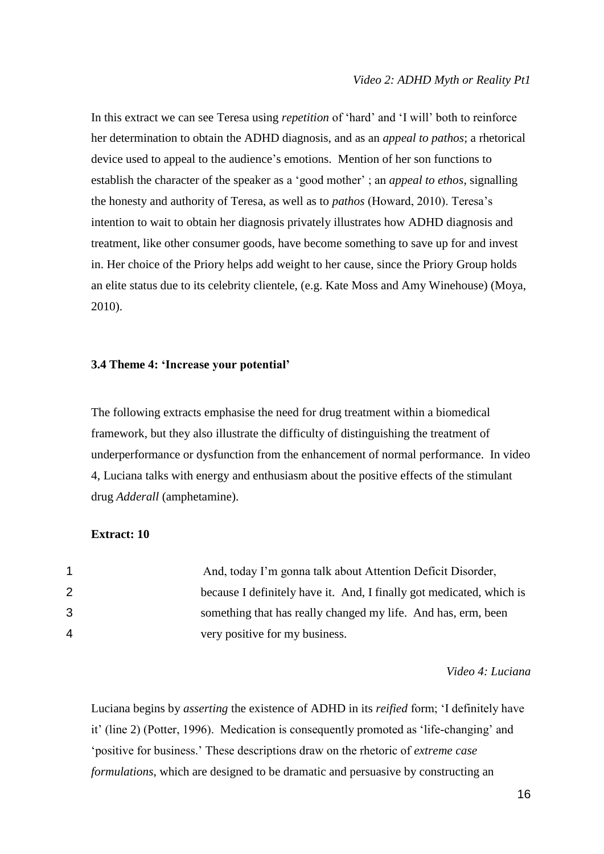In this extract we can see Teresa using *repetition* of 'hard' and 'I will' both to reinforce her determination to obtain the ADHD diagnosis, and as an *appeal to pathos*; a rhetorical device used to appeal to the audience's emotions. Mention of her son functions to establish the character of the speaker as a 'good mother' ; an *appeal to ethos*, signalling the honesty and authority of Teresa, as well as to *pathos* (Howard, 2010). Teresa's intention to wait to obtain her diagnosis privately illustrates how ADHD diagnosis and treatment, like other consumer goods, have become something to save up for and invest in. Her choice of the Priory helps add weight to her cause, since the Priory Group holds an elite status due to its celebrity clientele, (e.g. Kate Moss and Amy Winehouse) (Moya, 2010).

## **3.4 Theme 4: 'Increase your potential'**

The following extracts emphasise the need for drug treatment within a biomedical framework, but they also illustrate the difficulty of distinguishing the treatment of underperformance or dysfunction from the enhancement of normal performance. In video 4, Luciana talks with energy and enthusiasm about the positive effects of the stimulant drug *Adderall* (amphetamine).

## **Extract: 10**

|                  | And, today I'm gonna talk about Attention Deficit Disorder,          |
|------------------|----------------------------------------------------------------------|
| $\overline{2}$ . | because I definitely have it. And, I finally got medicated, which is |
| 3.               | something that has really changed my life. And has, erm, been        |
| 4                | very positive for my business.                                       |

*Video 4: Luciana*

Luciana begins by *asserting* the existence of ADHD in its *reified* form; 'I definitely have it' (line 2) (Potter, 1996). Medication is consequently promoted as 'life-changing' and 'positive for business.' These descriptions draw on the rhetoric of *extreme case formulations*, which are designed to be dramatic and persuasive by constructing an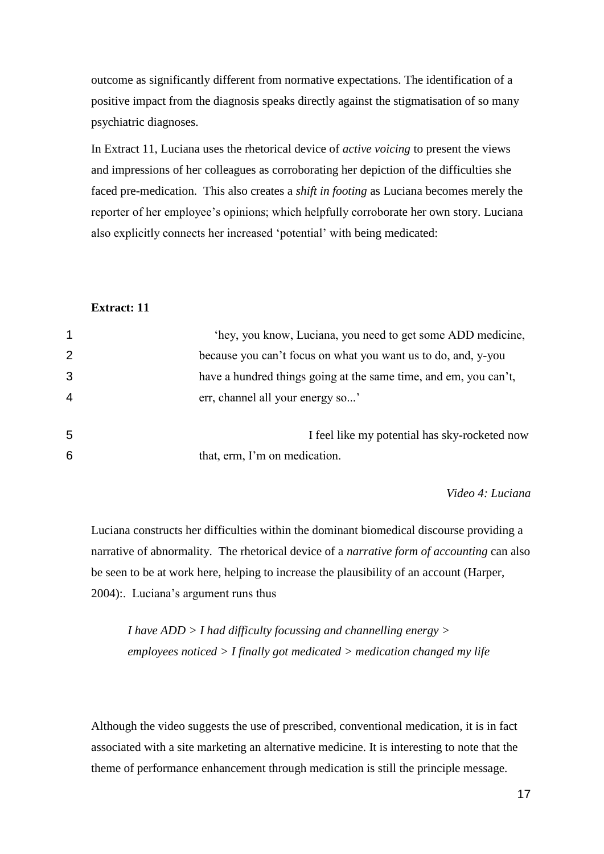outcome as significantly different from normative expectations. The identification of a positive impact from the diagnosis speaks directly against the stigmatisation of so many psychiatric diagnoses.

In Extract 11, Luciana uses the rhetorical device of *active voicing* to present the views and impressions of her colleagues as corroborating her depiction of the difficulties she faced pre-medication. This also creates a *shift in footing* as Luciana becomes merely the reporter of her employee's opinions; which helpfully corroborate her own story. Luciana also explicitly connects her increased 'potential' with being medicated:

## **Extract: 11**

| $\mathbf{1}$   | 'hey, you know, Luciana, you need to get some ADD medicine,      |
|----------------|------------------------------------------------------------------|
| 2              | because you can't focus on what you want us to do, and, y-you    |
| 3              | have a hundred things going at the same time, and em, you can't, |
| $\overline{4}$ | err, channel all your energy so'                                 |
| 5              | I feel like my potential has sky-rocketed now                    |
| 6              | that, erm, I'm on medication.                                    |

*Video 4: Luciana*

Luciana constructs her difficulties within the dominant biomedical discourse providing a narrative of abnormality. The rhetorical device of a *narrative form of accounting* can also be seen to be at work here, helping to increase the plausibility of an account (Harper, 2004):. Luciana's argument runs thus

*I have ADD > I had difficulty focussing and channelling energy > employees noticed > I finally got medicated > medication changed my life* 

Although the video suggests the use of prescribed, conventional medication, it is in fact associated with a site marketing an alternative medicine. It is interesting to note that the theme of performance enhancement through medication is still the principle message.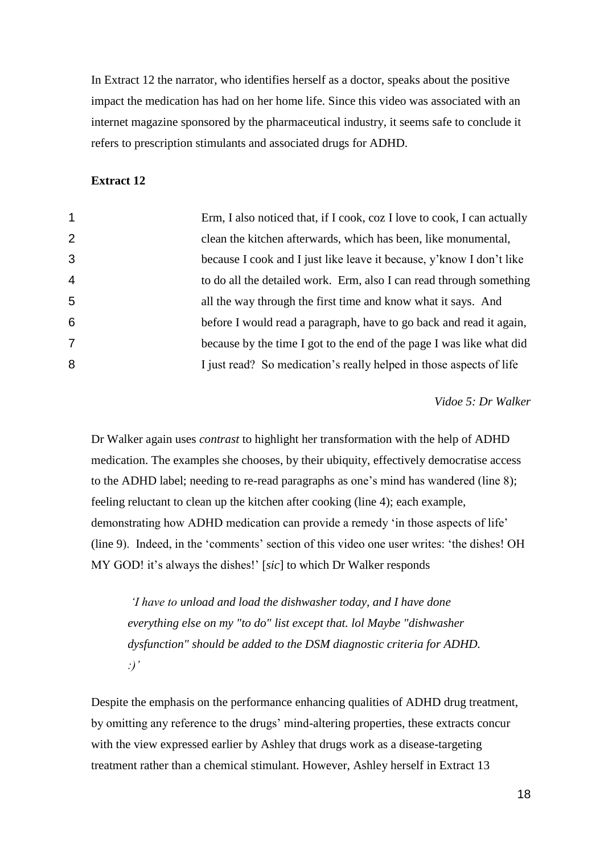In Extract 12 the narrator, who identifies herself as a doctor, speaks about the positive impact the medication has had on her home life. Since this video was associated with an internet magazine sponsored by the pharmaceutical industry, it seems safe to conclude it refers to prescription stimulants and associated drugs for ADHD.

#### **Extract 12**

| $\mathbf 1$    | Erm, I also noticed that, if I cook, coz I love to cook, I can actually |
|----------------|-------------------------------------------------------------------------|
| $\overline{2}$ | clean the kitchen afterwards, which has been, like monumental,          |
| 3              | because I cook and I just like leave it because, y'know I don't like    |
| 4              | to do all the detailed work. Erm, also I can read through something     |
| 5              | all the way through the first time and know what it says. And           |
| 6              | before I would read a paragraph, have to go back and read it again,     |
| 7              | because by the time I got to the end of the page I was like what did    |
| 8              | I just read? So medication's really helped in those aspects of life     |

*Vidoe 5: Dr Walker*

Dr Walker again uses *contrast* to highlight her transformation with the help of ADHD medication. The examples she chooses, by their ubiquity, effectively democratise access to the ADHD label; needing to re-read paragraphs as one's mind has wandered (line 8); feeling reluctant to clean up the kitchen after cooking (line 4); each example, demonstrating how ADHD medication can provide a remedy 'in those aspects of life' (line 9). Indeed, in the 'comments' section of this video one user writes: 'the dishes! OH MY GOD! it's always the dishes!' [*sic*] to which Dr Walker responds

*'I have to unload and load the dishwasher today, and I have done everything else on my "to do" list except that. lol Maybe "dishwasher dysfunction" should be added to the DSM diagnostic criteria for ADHD. :)'* 

Despite the emphasis on the performance enhancing qualities of ADHD drug treatment, by omitting any reference to the drugs' mind-altering properties, these extracts concur with the view expressed earlier by Ashley that drugs work as a disease-targeting treatment rather than a chemical stimulant. However, Ashley herself in Extract 13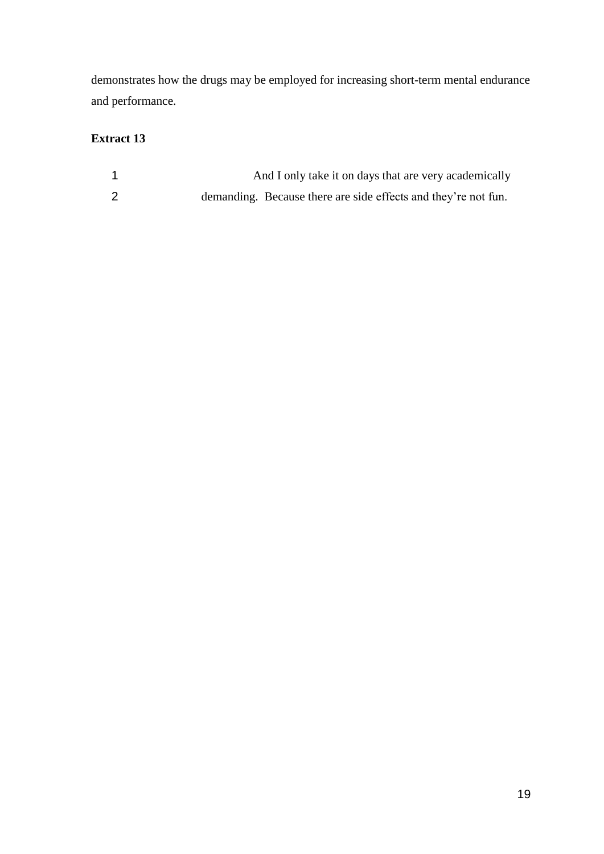demonstrates how the drugs may be employed for increasing short-term mental endurance and performance.

# **Extract 13**

|                | And I only take it on days that are very academically          |
|----------------|----------------------------------------------------------------|
| $\overline{2}$ | demanding. Because there are side effects and they're not fun. |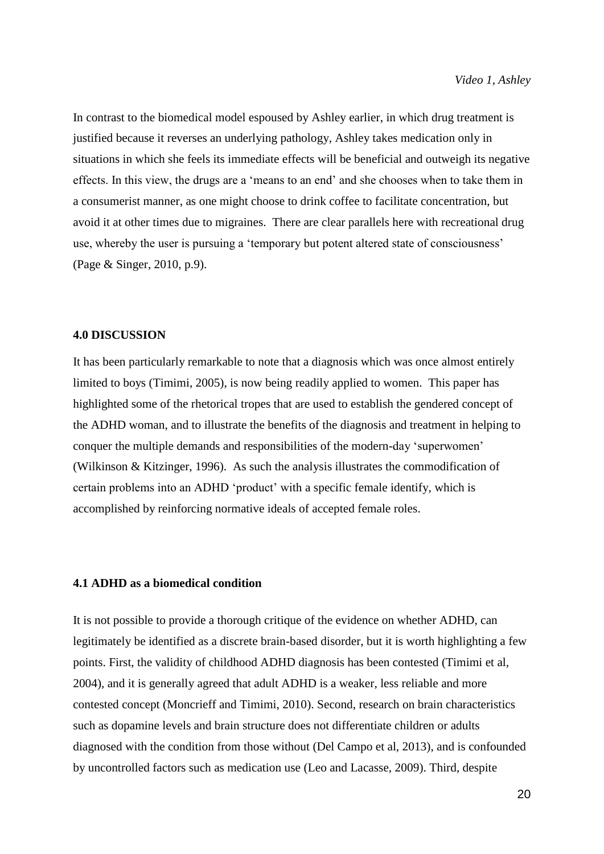In contrast to the biomedical model espoused by Ashley earlier, in which drug treatment is justified because it reverses an underlying pathology, Ashley takes medication only in situations in which she feels its immediate effects will be beneficial and outweigh its negative effects. In this view, the drugs are a 'means to an end' and she chooses when to take them in a consumerist manner, as one might choose to drink coffee to facilitate concentration, but avoid it at other times due to migraines. There are clear parallels here with recreational drug use, whereby the user is pursuing a 'temporary but potent altered state of consciousness' (Page & Singer, 2010, p.9).

#### **4.0 DISCUSSION**

It has been particularly remarkable to note that a diagnosis which was once almost entirely limited to boys (Timimi, 2005), is now being readily applied to women. This paper has highlighted some of the rhetorical tropes that are used to establish the gendered concept of the ADHD woman, and to illustrate the benefits of the diagnosis and treatment in helping to conquer the multiple demands and responsibilities of the modern-day 'superwomen' (Wilkinson & Kitzinger, 1996). As such the analysis illustrates the commodification of certain problems into an ADHD 'product' with a specific female identify, which is accomplished by reinforcing normative ideals of accepted female roles.

#### **4.1 ADHD as a biomedical condition**

It is not possible to provide a thorough critique of the evidence on whether ADHD, can legitimately be identified as a discrete brain-based disorder, but it is worth highlighting a few points. First, the validity of childhood ADHD diagnosis has been contested (Timimi et al, 2004), and it is generally agreed that adult ADHD is a weaker, less reliable and more contested concept (Moncrieff and Timimi, 2010). Second, research on brain characteristics such as dopamine levels and brain structure does not differentiate children or adults diagnosed with the condition from those without (Del Campo et al, 2013), and is confounded by uncontrolled factors such as medication use (Leo and Lacasse, 2009). Third, despite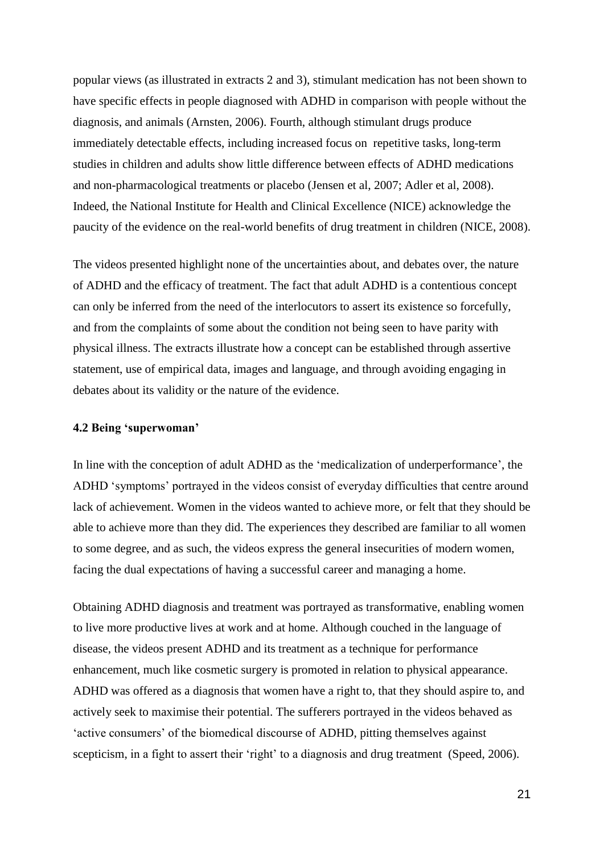popular views (as illustrated in extracts 2 and 3), stimulant medication has not been shown to have specific effects in people diagnosed with ADHD in comparison with people without the diagnosis, and animals (Arnsten, 2006). Fourth, although stimulant drugs produce immediately detectable effects, including increased focus on repetitive tasks, long-term studies in children and adults show little difference between effects of ADHD medications and non-pharmacological treatments or placebo (Jensen et al, 2007; Adler et al, 2008). Indeed, the National Institute for Health and Clinical Excellence (NICE) acknowledge the paucity of the evidence on the real-world benefits of drug treatment in children (NICE, 2008).

The videos presented highlight none of the uncertainties about, and debates over, the nature of ADHD and the efficacy of treatment. The fact that adult ADHD is a contentious concept can only be inferred from the need of the interlocutors to assert its existence so forcefully, and from the complaints of some about the condition not being seen to have parity with physical illness. The extracts illustrate how a concept can be established through assertive statement, use of empirical data, images and language, and through avoiding engaging in debates about its validity or the nature of the evidence.

## **4.2 Being 'superwoman'**

In line with the conception of adult ADHD as the 'medicalization of underperformance', the ADHD 'symptoms' portrayed in the videos consist of everyday difficulties that centre around lack of achievement. Women in the videos wanted to achieve more, or felt that they should be able to achieve more than they did. The experiences they described are familiar to all women to some degree, and as such, the videos express the general insecurities of modern women, facing the dual expectations of having a successful career and managing a home.

Obtaining ADHD diagnosis and treatment was portrayed as transformative, enabling women to live more productive lives at work and at home. Although couched in the language of disease, the videos present ADHD and its treatment as a technique for performance enhancement, much like cosmetic surgery is promoted in relation to physical appearance. ADHD was offered as a diagnosis that women have a right to, that they should aspire to, and actively seek to maximise their potential. The sufferers portrayed in the videos behaved as 'active consumers' of the biomedical discourse of ADHD, pitting themselves against scepticism, in a fight to assert their 'right' to a diagnosis and drug treatment (Speed, 2006).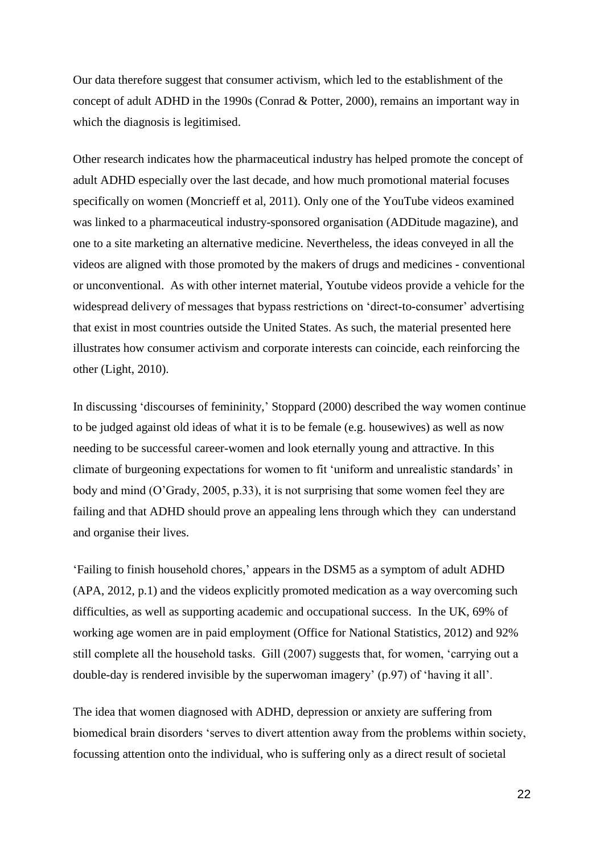Our data therefore suggest that consumer activism, which led to the establishment of the concept of adult ADHD in the 1990s (Conrad & Potter, 2000), remains an important way in which the diagnosis is legitimised.

Other research indicates how the pharmaceutical industry has helped promote the concept of adult ADHD especially over the last decade, and how much promotional material focuses specifically on women (Moncrieff et al, 2011). Only one of the YouTube videos examined was linked to a pharmaceutical industry-sponsored organisation (ADDitude magazine), and one to a site marketing an alternative medicine. Nevertheless, the ideas conveyed in all the videos are aligned with those promoted by the makers of drugs and medicines - conventional or unconventional. As with other internet material, Youtube videos provide a vehicle for the widespread delivery of messages that bypass restrictions on 'direct-to-consumer' advertising that exist in most countries outside the United States. As such, the material presented here illustrates how consumer activism and corporate interests can coincide, each reinforcing the other (Light, 2010).

In discussing 'discourses of femininity,' Stoppard (2000) described the way women continue to be judged against old ideas of what it is to be female (e.g. housewives) as well as now needing to be successful career-women and look eternally young and attractive. In this climate of burgeoning expectations for women to fit 'uniform and unrealistic standards' in body and mind (O'Grady, 2005, p.33), it is not surprising that some women feel they are failing and that ADHD should prove an appealing lens through which they can understand and organise their lives.

'Failing to finish household chores,' appears in the DSM5 as a symptom of adult ADHD (APA, 2012, p.1) and the videos explicitly promoted medication as a way overcoming such difficulties, as well as supporting academic and occupational success. In the UK, 69% of working age women are in paid employment (Office for National Statistics, 2012) and 92% still complete all the household tasks. Gill (2007) suggests that, for women, 'carrying out a double-day is rendered invisible by the superwoman imagery' (p.97) of 'having it all'.

The idea that women diagnosed with ADHD, depression or anxiety are suffering from biomedical brain disorders 'serves to divert attention away from the problems within society, focussing attention onto the individual, who is suffering only as a direct result of societal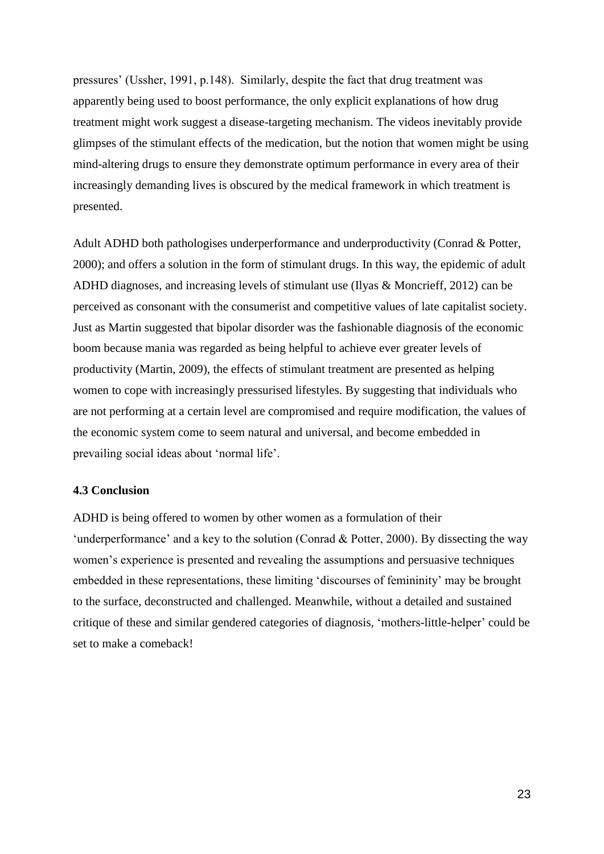pressures' (Ussher, 1991, p.148). Similarly, despite the fact that drug treatment was apparently being used to boost performance, the only explicit explanations of how drug treatment might work suggest a disease-targeting mechanism. The videos inevitably provide glimpses of the stimulant effects of the medication, but the notion that women might be using mind-altering drugs to ensure they demonstrate optimum performance in every area of their increasingly demanding lives is obscured by the medical framework in which treatment is presented.

Adult ADHD both pathologises underperformance and underproductivity (Conrad & Potter, 2000); and offers a solution in the form of stimulant drugs. In this way, the epidemic of adult ADHD diagnoses, and increasing levels of stimulant use (Ilyas & Moncrieff, 2012) can be perceived as consonant with the consumerist and competitive values of late capitalist society. Just as Martin suggested that bipolar disorder was the fashionable diagnosis of the economic boom because mania was regarded as being helpful to achieve ever greater levels of productivity (Martin, 2009), the effects of stimulant treatment are presented as helping women to cope with increasingly pressurised lifestyles. By suggesting that individuals who are not performing at a certain level are compromised and require modification, the values of the economic system come to seem natural and universal, and become embedded in prevailing social ideas about 'normal life'.

#### **4.3 Conclusion**

ADHD is being offered to women by other women as a formulation of their 'underperformance' and a key to the solution (Conrad & Potter, 2000). By dissecting the way women's experience is presented and revealing the assumptions and persuasive techniques embedded in these representations, these limiting 'discourses of femininity' may be brought to the surface, deconstructed and challenged. Meanwhile, without a detailed and sustained critique of these and similar gendered categories of diagnosis, 'mothers-little-helper' could be set to make a comeback!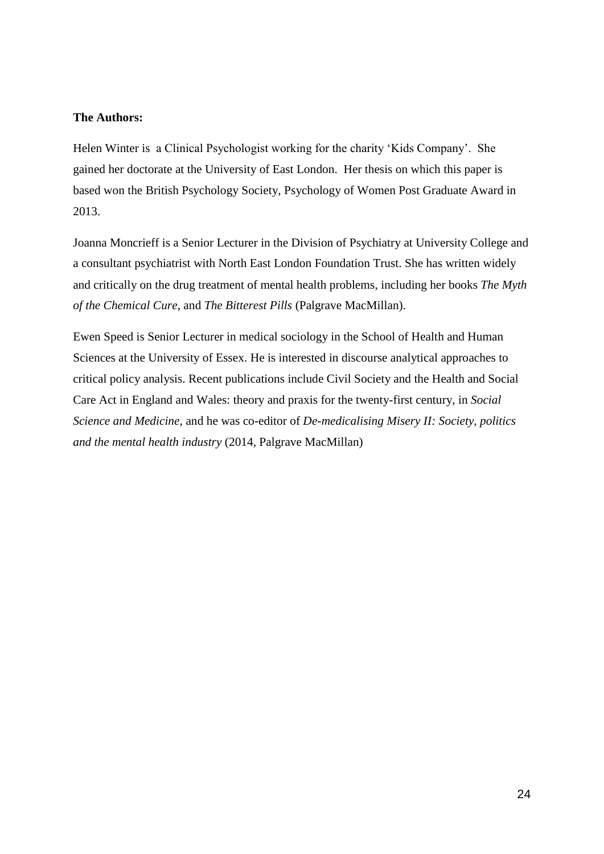## **The Authors:**

Helen Winter is a Clinical Psychologist working for the charity 'Kids Company'. She gained her doctorate at the University of East London. Her thesis on which this paper is based won the British Psychology Society, Psychology of Women Post Graduate Award in 2013.

Joanna Moncrieff is a Senior Lecturer in the Division of Psychiatry at University College and a consultant psychiatrist with North East London Foundation Trust. She has written widely and critically on the drug treatment of mental health problems, including her books *The Myth of the Chemical Cure*, and *The Bitterest Pills* (Palgrave MacMillan).

Ewen Speed is Senior Lecturer in medical sociology in the School of Health and Human Sciences at the University of Essex. He is interested in discourse analytical approaches to critical policy analysis. Recent publications include Civil Society and the Health and Social Care Act in England and Wales: theory and praxis for the twenty-first century, in *Social Science and Medicine*, and he was co-editor of *De-medicalising Misery II: Society, politics and the mental health industry* (2014, Palgrave MacMillan)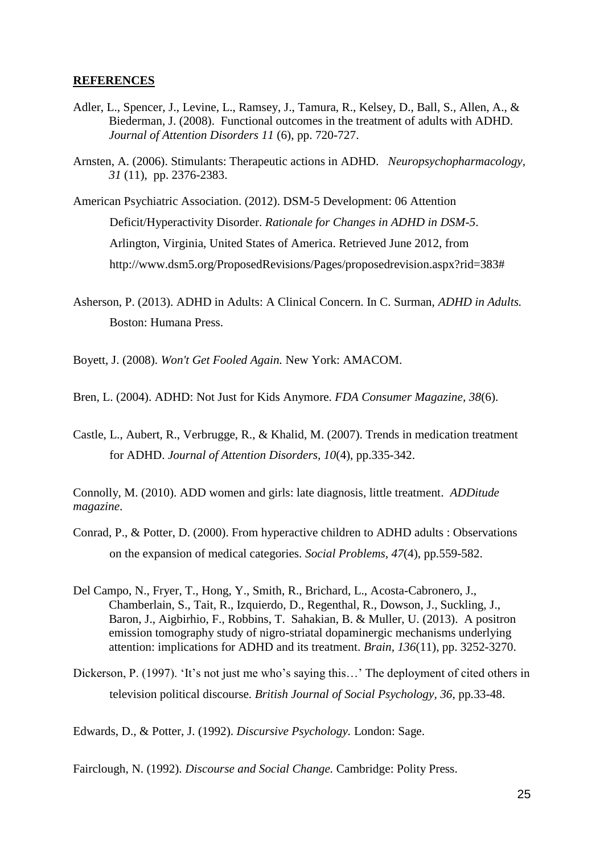#### **REFERENCES**

- Adler, L., Spencer, J., Levine, L., Ramsey, J., Tamura, R., Kelsey, D., Ball, S., Allen, A., & Biederman, J. (2008). Functional outcomes in the treatment of adults with ADHD. *Journal of Attention Disorders 11* (6), pp. 720-727.
- Arnsten, A. (2006). Stimulants: Therapeutic actions in ADHD. *Neuropsychopharmacology, 31* (11), pp. 2376-2383.
- American Psychiatric Association. (2012). DSM-5 Development: 06 Attention Deficit/Hyperactivity Disorder. *Rationale for Changes in ADHD in DSM-5*. Arlington, Virginia, United States of America. Retrieved June 2012, from http://www.dsm5.org/ProposedRevisions/Pages/proposedrevision.aspx?rid=383#
- Asherson, P. (2013). ADHD in Adults: A Clinical Concern. In C. Surman, *ADHD in Adults.* Boston: Humana Press.
- Boyett, J. (2008). *Won't Get Fooled Again.* New York: AMACOM.
- Bren, L. (2004). ADHD: Not Just for Kids Anymore. *FDA Consumer Magazine, 38*(6).
- Castle, L., Aubert, R., Verbrugge, R., & Khalid, M. (2007). Trends in medication treatment for ADHD. *Journal of Attention Disorders, 10*(4), pp.335-342.

Connolly, M. (2010). ADD women and girls: late diagnosis, little treatment. *ADDitude magazine*.

- Conrad, P., & Potter, D. (2000). From hyperactive children to ADHD adults : Observations on the expansion of medical categories. *Social Problems, 47*(4), pp.559-582.
- Del Campo, N., Fryer, T., Hong, Y., Smith, R., Brichard, L., Acosta-Cabronero, J., Chamberlain, S., Tait, R., Izquierdo, D., Regenthal, R., Dowson, J., Suckling, J., Baron, J., Aigbirhio, F., Robbins, T. Sahakian, B. & Muller, U. (2013). A positron emission tomography study of nigro-striatal dopaminergic mechanisms underlying attention: implications for ADHD and its treatment. *Brain, 136*(11), pp. 3252-3270.
- Dickerson, P. (1997). 'It's not just me who's saying this...' The deployment of cited others in television political discourse. *British Journal of Social Psychology, 36*, pp.33-48.

Edwards, D., & Potter, J. (1992). *Discursive Psychology.* London: Sage.

Fairclough, N. (1992). *Discourse and Social Change.* Cambridge: Polity Press.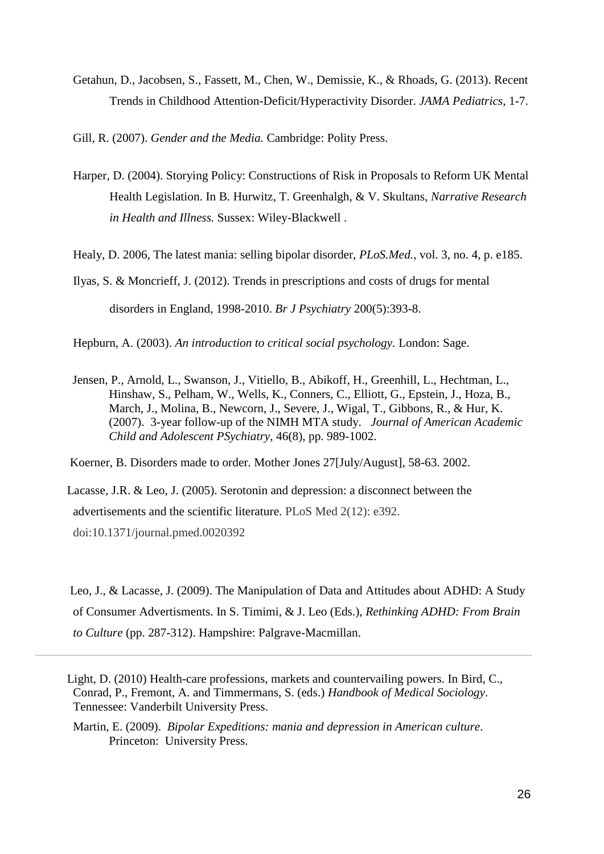- Getahun, D., Jacobsen, S., Fassett, M., Chen, W., Demissie, K., & Rhoads, G. (2013). Recent Trends in Childhood Attention-Deficit/Hyperactivity Disorder. *JAMA Pediatrics*, 1-7.
- Gill, R. (2007). *Gender and the Media.* Cambridge: Polity Press.
- Harper, D. (2004). Storying Policy: Constructions of Risk in Proposals to Reform UK Mental Health Legislation. In B. Hurwitz, T. Greenhalgh, & V. Skultans, *Narrative Research in Health and Illness.* Sussex: Wiley-Blackwell .

Healy, D. 2006, The latest mania: selling bipolar disorder, *PLoS.Med.*, vol. 3, no. 4, p. e185.

Ilyas, S. & Moncrieff, J. (2012). Trends in prescriptions and costs of drugs for mental disorders in England, 1998-2010. *Br J Psychiatry* 200(5):393-8.

Hepburn, A. (2003). *An introduction to critical social psychology.* London: Sage.

Jensen, P., Arnold, L., Swanson, J., Vitiello, B., Abikoff, H., Greenhill, L., Hechtman, L., Hinshaw, S., Pelham, W., Wells, K., Conners, C., Elliott, G., Epstein, J., Hoza, B., March, J., Molina, B., Newcorn, J., Severe, J., Wigal, T., Gibbons, R., & Hur, K. (2007). 3-year follow-up of the NIMH MTA study. *Journal of American Academic Child and Adolescent PSychiatry,* 46(8), pp. 989-1002.

Koerner, B. Disorders made to order. Mother Jones 27[July/August], 58-63. 2002.

 Lacasse, J.R. & Leo, J. (2005). Serotonin and depression: a disconnect between the advertisements and the scientific literature. PLoS Med 2(12): e392. doi:10.1371/journal.pmed.0020392

 Leo, J., & Lacasse, J. (2009). The Manipulation of Data and Attitudes about ADHD: A Study of Consumer Advertisments. In S. Timimi, & J. Leo (Eds.), *Rethinking ADHD: From Brain to Culture* (pp. 287-312). Hampshire: Palgrave-Macmillan.

Martin, E. (2009). *Bipolar Expeditions: mania and depression in American culture*. Princeton: University Press.

Light, D. (2010) Health-care professions, markets and countervailing powers. In Bird, C., Conrad, P., Fremont, A. and Timmermans, S. (eds.) *Handbook of Medical Sociology*. Tennessee: Vanderbilt University Press.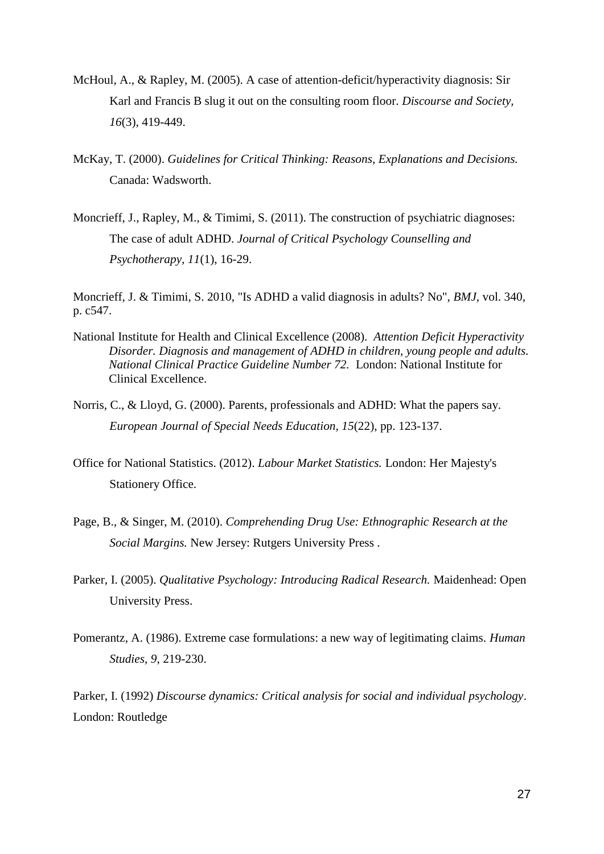- McHoul, A., & Rapley, M. (2005). A case of attention-deficit/hyperactivity diagnosis: Sir Karl and Francis B slug it out on the consulting room floor. *Discourse and Society, 16*(3), 419-449.
- McKay, T. (2000). *Guidelines for Critical Thinking: Reasons, Explanations and Decisions.* Canada: Wadsworth.
- Moncrieff, J., Rapley, M., & Timimi, S. (2011). The construction of psychiatric diagnoses: The case of adult ADHD. *Journal of Critical Psychology Counselling and Psychotherapy, 11*(1), 16-29.

Moncrieff, J. & Timimi, S. 2010, "Is ADHD a valid diagnosis in adults? No", *BMJ*, vol. 340, p. c547.

- National Institute for Health and Clinical Excellence (2008). *Attention Deficit Hyperactivity Disorder. Diagnosis and management of ADHD in children, young people and adults. National Clinical Practice Guideline Number 72.* London: National Institute for Clinical Excellence.
- Norris, C., & Lloyd, G. (2000). Parents, professionals and ADHD: What the papers say. *European Journal of Special Needs Education, 15*(22), pp. 123-137.
- Office for National Statistics. (2012). *Labour Market Statistics.* London: Her Majesty's Stationery Office.
- Page, B., & Singer, M. (2010). *Comprehending Drug Use: Ethnographic Research at the Social Margins.* New Jersey: Rutgers University Press .
- Parker, I. (2005). *Qualitative Psychology: Introducing Radical Research.* Maidenhead: Open University Press.
- Pomerantz, A. (1986). Extreme case formulations: a new way of legitimating claims. *Human Studies, 9*, 219-230.

Parker, I. (1992) *Discourse dynamics: Critical analysis for social and individual psychology*. London: Routledge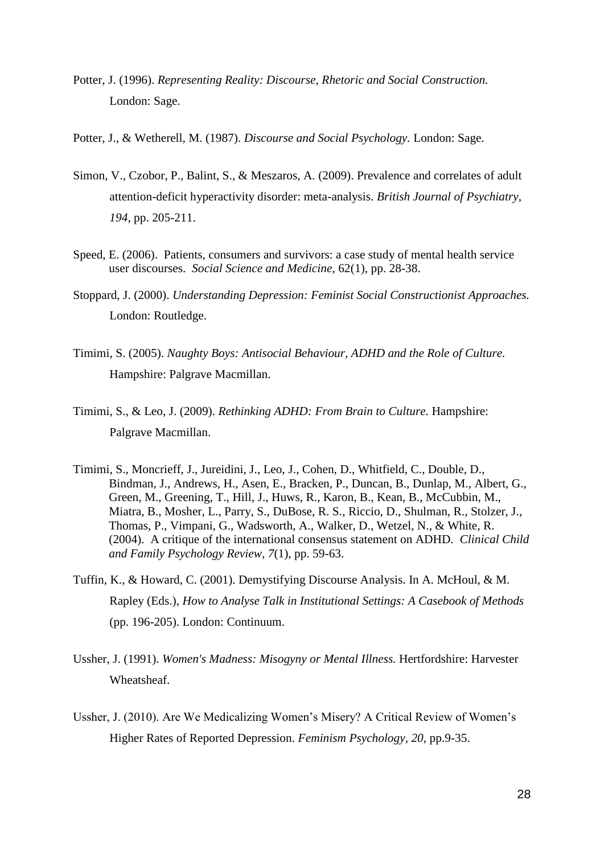- Potter, J. (1996). *Representing Reality: Discourse, Rhetoric and Social Construction.* London: Sage.
- Potter, J., & Wetherell, M. (1987). *Discourse and Social Psychology.* London: Sage.
- Simon, V., Czobor, P., Balint, S., & Meszaros, A. (2009). Prevalence and correlates of adult attention-deficit hyperactivity disorder: meta-analysis. *British Journal of Psychiatry, 194*, pp. 205-211.
- Speed, E. (2006). Patients, consumers and survivors: a case study of mental health service user discourses. *Social Science and Medicine,* 62(1), pp. 28-38.
- Stoppard, J. (2000). *Understanding Depression: Feminist Social Constructionist Approaches.* London: Routledge.
- Timimi, S. (2005). *Naughty Boys: Antisocial Behaviour, ADHD and the Role of Culture.* Hampshire: Palgrave Macmillan.
- Timimi, S., & Leo, J. (2009). *Rethinking ADHD: From Brain to Culture.* Hampshire: Palgrave Macmillan.
- Timimi, S., Moncrieff, J., Jureidini, J., Leo, J., Cohen, D., Whitfield, C., Double, D., Bindman, J., Andrews, H., Asen, E., Bracken, P., Duncan, B., Dunlap, M., Albert, G., Green, M., Greening, T., Hill, J., Huws, R., Karon, B., Kean, B., McCubbin, M., Miatra, B., Mosher, L., Parry, S., DuBose, R. S., Riccio, D., Shulman, R., Stolzer, J., Thomas, P., Vimpani, G., Wadsworth, A., Walker, D., Wetzel, N., & White, R. (2004). A critique of the international consensus statement on ADHD. *Clinical Child and Family Psychology Review, 7*(1), pp. 59-63.
- Tuffin, K., & Howard, C. (2001). Demystifying Discourse Analysis. In A. McHoul, & M. Rapley (Eds.), *How to Analyse Talk in Institutional Settings: A Casebook of Methods* (pp. 196-205). London: Continuum.
- Ussher, J. (1991). *Women's Madness: Misogyny or Mental Illness.* Hertfordshire: Harvester Wheatsheaf.
- Ussher, J. (2010). Are We Medicalizing Women's Misery? A Critical Review of Women's Higher Rates of Reported Depression. *Feminism Psychology, 20*, pp.9-35.